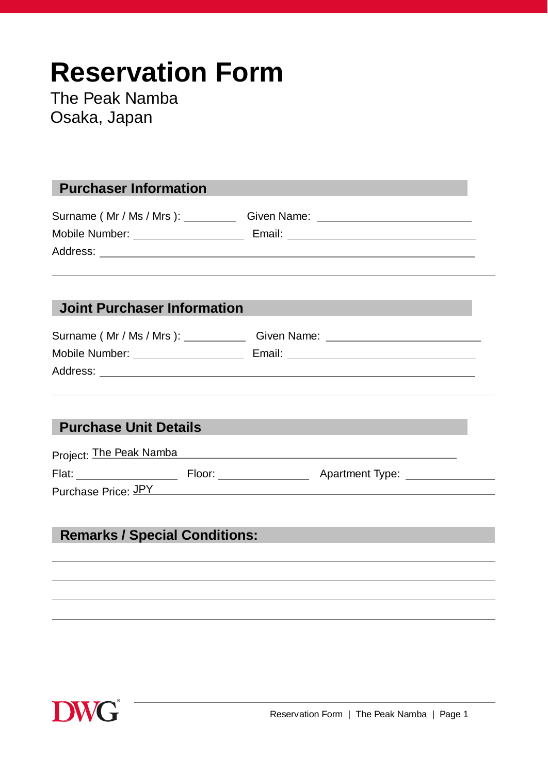# **Reservation Form**

The Peak Namba Osaka, Japan

## **Purchaser Information**

Surname ( Mr / Ms / Mrs ): Given Name: Communication Communication Communication Communication Communication C Mobile Number: Email: Address:

### **Joint Purchaser Information**

| Surname (Mr / Ms / Mrs ): | Given Name: |
|---------------------------|-------------|
| Mobile Number:            | Email:      |
| Address:                  |             |

## **Purchase Unit Details**

| Project: The Peak Namba |        |                        |  |
|-------------------------|--------|------------------------|--|
| Flat:                   | Floor: | <b>Apartment Type:</b> |  |

Purchase Price: JPY

# **Remarks / Special Conditions:**

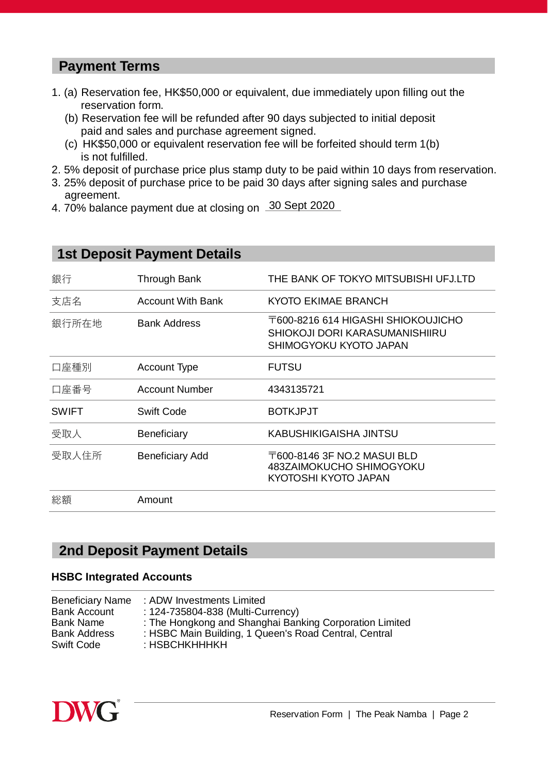## **Payment Terms**

- 1. (a) Reservation fee, HK\$50,000 or equivalent, due immediately upon filling out the reservation form.
	- (b) Reservation fee will be refunded after 90 days subjected to initial deposit paid and sales and purchase agreement signed.
	- (c) HK\$50,000 or equivalent reservation fee will be forfeited should term 1(b) is not fulfilled.
- 2. 5% deposit of purchase price plus stamp duty to be paid within 10 days from reservation.
- 3. 25% deposit of purchase price to be paid 30 days after signing sales and purchase agreement.
- 4. 70% balance payment due at closing on 30 Sept 2020

# **1st Deposit Payment Details**

| 銀行           | <b>Through Bank</b>    | THE BANK OF TOKYO MITSUBISHI UFJ.LTD                                                           |
|--------------|------------------------|------------------------------------------------------------------------------------------------|
| 支店名          | Account With Bank      | KYOTO EKIMAE BRANCH                                                                            |
| 銀行所在地        | <b>Bank Address</b>    | T600-8216 614 HIGASHI SHIOKOUJICHO<br>SHIOKOJI DORI KARASUMANISHIIRU<br>SHIMOGYOKU KYOTO JAPAN |
| 口座種別         | <b>Account Type</b>    | <b>FUTSU</b>                                                                                   |
| 口座番号         | <b>Account Number</b>  | 4343135721                                                                                     |
| <b>SWIFT</b> | <b>Swift Code</b>      | <b>BOTKJPJT</b>                                                                                |
| 受取人          | <b>Beneficiary</b>     | <b>KABUSHIKIGAISHA JINTSU</b>                                                                  |
| 受取人住所        | <b>Beneficiary Add</b> | 〒600-8146 3F NO.2 MASUI BLD<br>483ZAIMOKUCHO SHIMOGYOKU<br>KYOTOSHI KYOTO JAPAN                |
| 総額           | Amount                 |                                                                                                |

#### **2nd Deposit Payment Details**

#### **HSBC Integrated Accounts**

| <b>Beneficiary Name</b><br><b>Bank Account</b><br>Bank Name<br><b>Bank Address</b><br>Swift Code | : ADW Investments Limited<br>: 124-735804-838 (Multi-Currency)<br>: The Hongkong and Shanghai Banking Corporation Limited<br>: HSBC Main Building, 1 Queen's Road Central, Central<br>: HSBCHKHHHKH |
|--------------------------------------------------------------------------------------------------|-----------------------------------------------------------------------------------------------------------------------------------------------------------------------------------------------------|
|                                                                                                  |                                                                                                                                                                                                     |
|                                                                                                  |                                                                                                                                                                                                     |